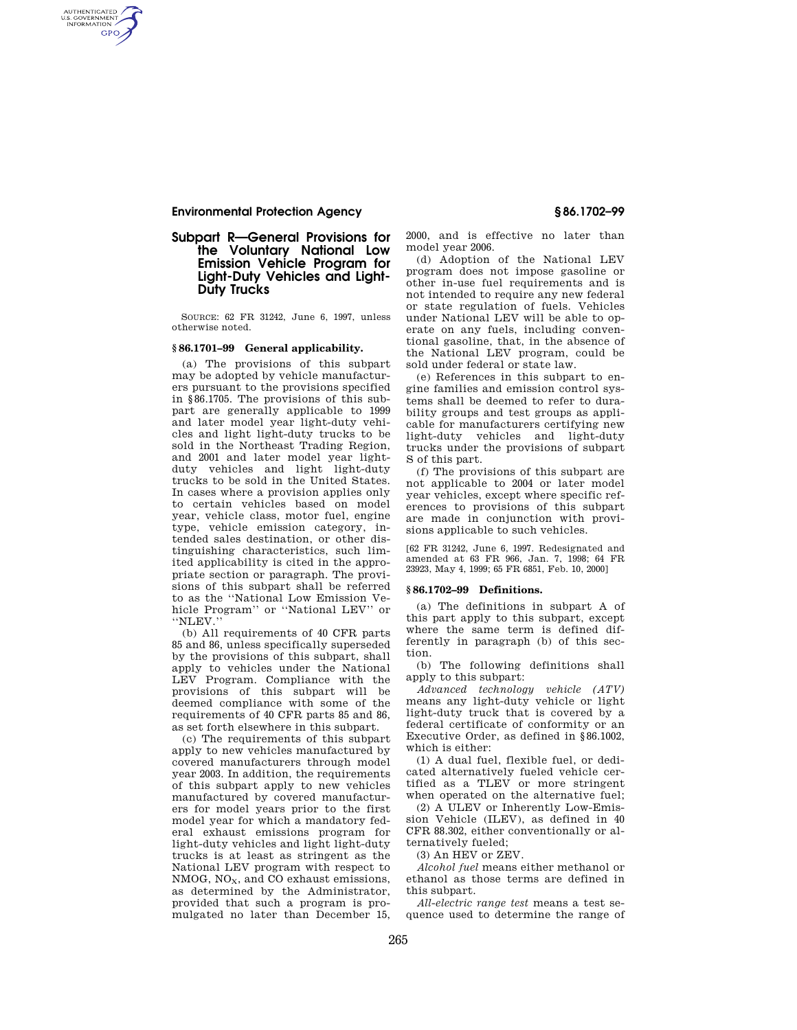## **Environmental Protection Agency § 86.1702–99**

AUTHENTICATED<br>U.S. GOVERNMENT<br>INFORMATION **GPO** 

# **Subpart R—General Provisions for the Voluntary National Low Emission Vehicle Program for Light-Duty Vehicles and Light-Duty Trucks**

SOURCE: 62 FR 31242, June 6, 1997, unless otherwise noted.

# **§ 86.1701–99 General applicability.**

(a) The provisions of this subpart may be adopted by vehicle manufacturers pursuant to the provisions specified in §86.1705. The provisions of this subpart are generally applicable to 1999 and later model year light-duty vehicles and light light-duty trucks to be sold in the Northeast Trading Region, and 2001 and later model year lightduty vehicles and light light-duty trucks to be sold in the United States. In cases where a provision applies only to certain vehicles based on model year, vehicle class, motor fuel, engine type, vehicle emission category, intended sales destination, or other distinguishing characteristics, such limited applicability is cited in the appropriate section or paragraph. The provisions of this subpart shall be referred to as the ''National Low Emission Vehicle Program'' or ''National LEV'' or ''NLEV.''

(b) All requirements of 40 CFR parts 85 and 86, unless specifically superseded by the provisions of this subpart, shall apply to vehicles under the National LEV Program. Compliance with the provisions of this subpart will be deemed compliance with some of the requirements of 40 CFR parts 85 and 86, as set forth elsewhere in this subpart.

(c) The requirements of this subpart apply to new vehicles manufactured by covered manufacturers through model year 2003. In addition, the requirements of this subpart apply to new vehicles manufactured by covered manufacturers for model years prior to the first model year for which a mandatory federal exhaust emissions program for light-duty vehicles and light light-duty trucks is at least as stringent as the National LEV program with respect to  $NMOG$ ,  $NO<sub>X</sub>$ , and  $CO$  exhaust emissions, as determined by the Administrator, provided that such a program is promulgated no later than December 15,

2000, and is effective no later than model year 2006.

(d) Adoption of the National LEV program does not impose gasoline or other in-use fuel requirements and is not intended to require any new federal or state regulation of fuels. Vehicles under National LEV will be able to operate on any fuels, including conventional gasoline, that, in the absence of the National LEV program, could be sold under federal or state law.

(e) References in this subpart to engine families and emission control systems shall be deemed to refer to durability groups and test groups as applicable for manufacturers certifying new light-duty vehicles and light-duty trucks under the provisions of subpart S of this part.

(f) The provisions of this subpart are not applicable to 2004 or later model year vehicles, except where specific references to provisions of this subpart are made in conjunction with provisions applicable to such vehicles.

[62 FR 31242, June 6, 1997. Redesignated and amended at 63 FR 966, Jan. 7, 1998; 64 FR 23923, May 4, 1999; 65 FR 6851, Feb. 10, 2000]

### **§ 86.1702–99 Definitions.**

(a) The definitions in subpart A of this part apply to this subpart, except where the same term is defined differently in paragraph (b) of this section.

(b) The following definitions shall apply to this subpart:

*Advanced technology vehicle (ATV)*  means any light-duty vehicle or light light-duty truck that is covered by a federal certificate of conformity or an Executive Order, as defined in §86.1002, which is either:

(1) A dual fuel, flexible fuel, or dedicated alternatively fueled vehicle certified as a TLEV or more stringent when operated on the alternative fuel;

(2) A ULEV or Inherently Low-Emission Vehicle (ILEV), as defined in 40 CFR 88.302, either conventionally or alternatively fueled;

(3) An HEV or ZEV.

*Alcohol fuel* means either methanol or ethanol as those terms are defined in this subpart.

*All-electric range test* means a test sequence used to determine the range of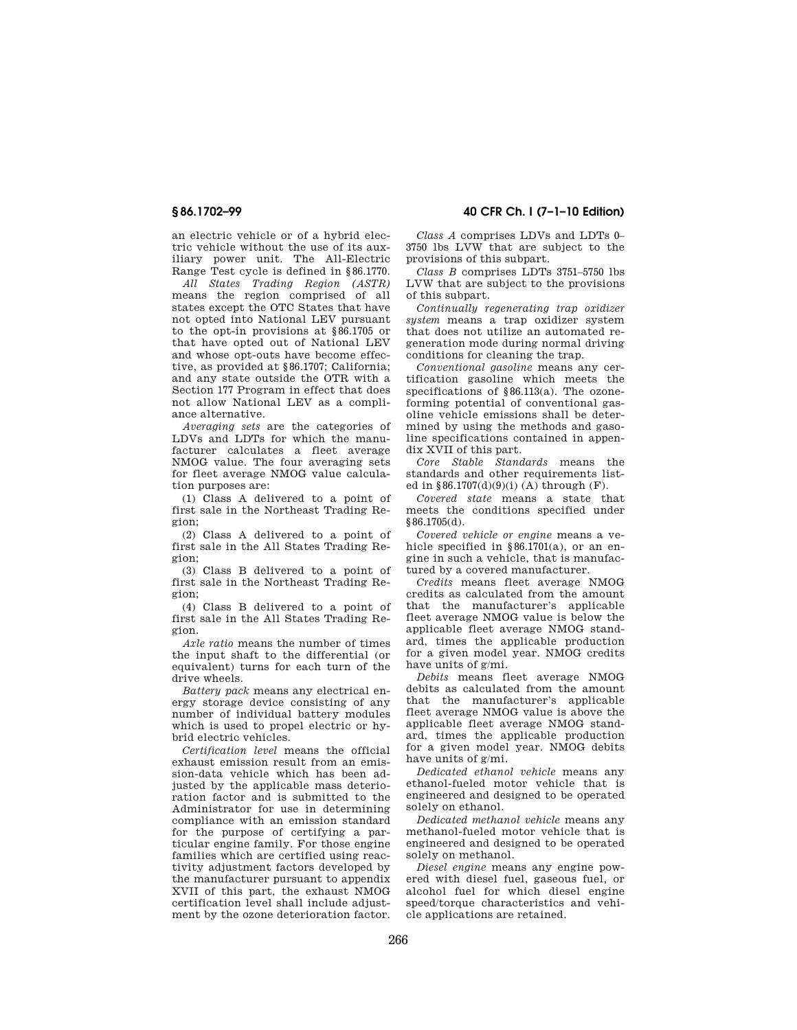an electric vehicle or of a hybrid electric vehicle without the use of its auxiliary power unit. The All-Electric Range Test cycle is defined in §86.1770.

*All States Trading Region (ASTR)*  means the region comprised of all states except the OTC States that have not opted into National LEV pursuant to the opt-in provisions at §86.1705 or that have opted out of National LEV and whose opt-outs have become effective, as provided at §86.1707; California; and any state outside the OTR with a Section 177 Program in effect that does not allow National LEV as a compliance alternative.

*Averaging sets* are the categories of LDVs and LDTs for which the manufacturer calculates a fleet average NMOG value. The four averaging sets for fleet average NMOG value calculation purposes are:

(1) Class A delivered to a point of first sale in the Northeast Trading Region;

(2) Class A delivered to a point of first sale in the All States Trading Region;

(3) Class B delivered to a point of first sale in the Northeast Trading Region;

(4) Class B delivered to a point of first sale in the All States Trading Region.

*Axle ratio* means the number of times the input shaft to the differential (or equivalent) turns for each turn of the drive wheels.

*Battery pack* means any electrical energy storage device consisting of any number of individual battery modules which is used to propel electric or hybrid electric vehicles.

*Certification level* means the official exhaust emission result from an emission-data vehicle which has been adjusted by the applicable mass deterioration factor and is submitted to the Administrator for use in determining compliance with an emission standard for the purpose of certifying a particular engine family. For those engine families which are certified using reactivity adjustment factors developed by the manufacturer pursuant to appendix XVII of this part, the exhaust NMOG certification level shall include adjustment by the ozone deterioration factor.

**§ 86.1702–99 40 CFR Ch. I (7–1–10 Edition)** 

*Class A* comprises LDVs and LDTs 0– 3750 lbs LVW that are subject to the provisions of this subpart.

*Class B* comprises LDTs 3751–5750 lbs LVW that are subject to the provisions of this subpart.

*Continually regenerating trap oxidizer system* means a trap oxidizer system that does not utilize an automated regeneration mode during normal driving conditions for cleaning the trap.

*Conventional gasoline* means any certification gasoline which meets the specifications of §86.113(a). The ozoneforming potential of conventional gasoline vehicle emissions shall be determined by using the methods and gasoline specifications contained in appendix XVII of this part.

*Core Stable Standards* means the standards and other requirements listed in  $§86.1707(d)(9)(i)$  (A) through (F).

*Covered state* means a state that meets the conditions specified under §86.1705(d).

*Covered vehicle or engine* means a vehicle specified in §86.1701(a), or an engine in such a vehicle, that is manufactured by a covered manufacturer.

*Credits* means fleet average NMOG credits as calculated from the amount that the manufacturer's applicable fleet average NMOG value is below the applicable fleet average NMOG standard, times the applicable production for a given model year. NMOG credits have units of g/mi.

*Debits* means fleet average NMOG debits as calculated from the amount that the manufacturer's applicable fleet average NMOG value is above the applicable fleet average NMOG standard, times the applicable production for a given model year. NMOG debits have units of g/mi.

*Dedicated ethanol vehicle* means any ethanol-fueled motor vehicle that is engineered and designed to be operated solely on ethanol.

*Dedicated methanol vehicle* means any methanol-fueled motor vehicle that is engineered and designed to be operated solely on methanol.

*Diesel engine* means any engine powered with diesel fuel, gaseous fuel, or alcohol fuel for which diesel engine speed/torque characteristics and vehicle applications are retained.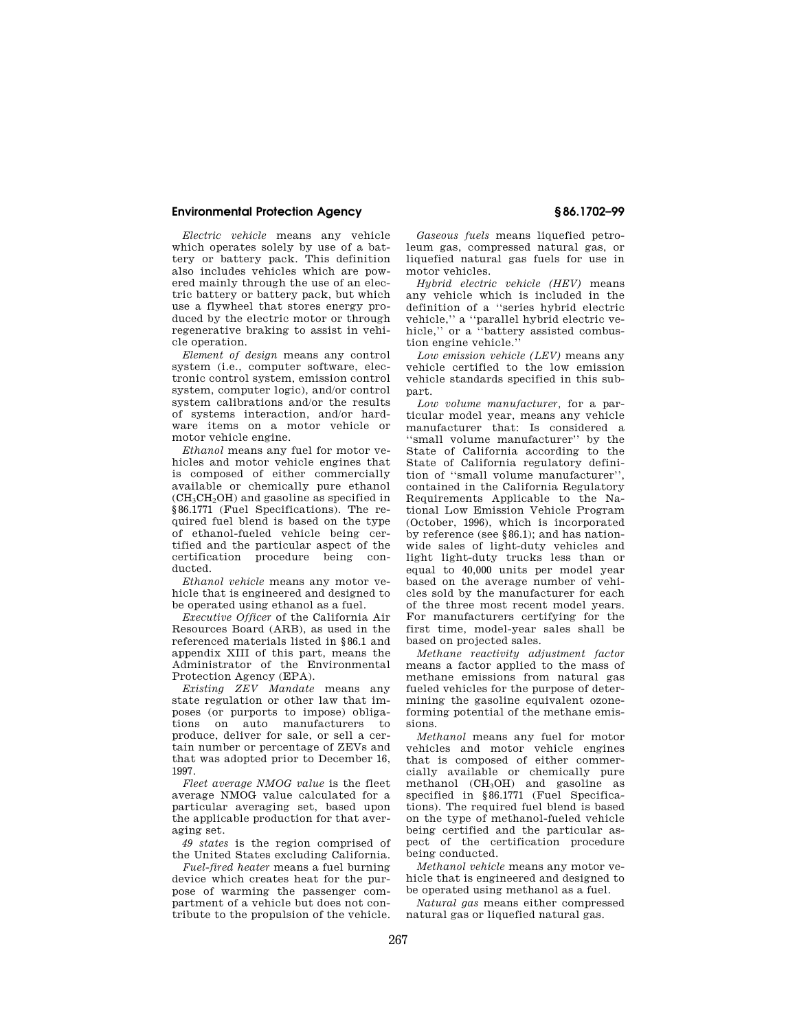### **Environmental Protection Agency § 86.1702–99**

*Electric vehicle* means any vehicle which operates solely by use of a battery or battery pack. This definition also includes vehicles which are powered mainly through the use of an electric battery or battery pack, but which use a flywheel that stores energy produced by the electric motor or through regenerative braking to assist in vehicle operation.

*Element of design* means any control system (i.e., computer software, electronic control system, emission control system, computer logic), and/or control system calibrations and/or the results of systems interaction, and/or hardware items on a motor vehicle or motor vehicle engine.

*Ethanol* means any fuel for motor vehicles and motor vehicle engines that is composed of either commercially available or chemically pure ethanol  $(CH_3CH_2OH)$  and gasoline as specified in §86.1771 (Fuel Specifications). The required fuel blend is based on the type of ethanol-fueled vehicle being certified and the particular aspect of the certification procedure being conducted.

*Ethanol vehicle* means any motor vehicle that is engineered and designed to be operated using ethanol as a fuel.

*Executive Officer* of the California Air Resources Board (ARB), as used in the referenced materials listed in §86.1 and appendix XIII of this part, means the Administrator of the Environmental Protection Agency (EPA).

*Existing ZEV Mandate* means any state regulation or other law that imposes (or purports to impose) obligations on auto manufacturers to produce, deliver for sale, or sell a certain number or percentage of ZEVs and that was adopted prior to December 16, 1997.

*Fleet average NMOG value* is the fleet average NMOG value calculated for a particular averaging set, based upon the applicable production for that averaging set.

*49 states* is the region comprised of the United States excluding California.

*Fuel-fired heater* means a fuel burning device which creates heat for the purpose of warming the passenger compartment of a vehicle but does not contribute to the propulsion of the vehicle.

*Gaseous fuels* means liquefied petroleum gas, compressed natural gas, or liquefied natural gas fuels for use in motor vehicles.

*Hybrid electric vehicle (HEV)* means any vehicle which is included in the definition of a ''series hybrid electric vehicle,'' a ''parallel hybrid electric vehicle,'' or a ''battery assisted combustion engine vehicle.''

*Low emission vehicle (LEV)* means any vehicle certified to the low emission vehicle standards specified in this subpart.

*Low volume manufacturer,* for a particular model year, means any vehicle manufacturer that: Is considered a ''small volume manufacturer'' by the State of California according to the State of California regulatory definition of ''small volume manufacturer'', contained in the California Regulatory Requirements Applicable to the National Low Emission Vehicle Program (October, 1996), which is incorporated by reference (see §86.1); and has nationwide sales of light-duty vehicles and light light-duty trucks less than or equal to 40,000 units per model year based on the average number of vehicles sold by the manufacturer for each of the three most recent model years. For manufacturers certifying for the first time, model-year sales shall be based on projected sales.

*Methane reactivity adjustment factor*  means a factor applied to the mass of methane emissions from natural gas fueled vehicles for the purpose of determining the gasoline equivalent ozoneforming potential of the methane emissions.

*Methanol* means any fuel for motor vehicles and motor vehicle engines that is composed of either commercially available or chemically pure methanol  $(CH<sub>3</sub>OH)$  and gasoline as specified in §86.1771 (Fuel Specifications). The required fuel blend is based on the type of methanol-fueled vehicle being certified and the particular aspect of the certification procedure being conducted.

*Methanol vehicle* means any motor vehicle that is engineered and designed to be operated using methanol as a fuel.

*Natural gas* means either compressed natural gas or liquefied natural gas.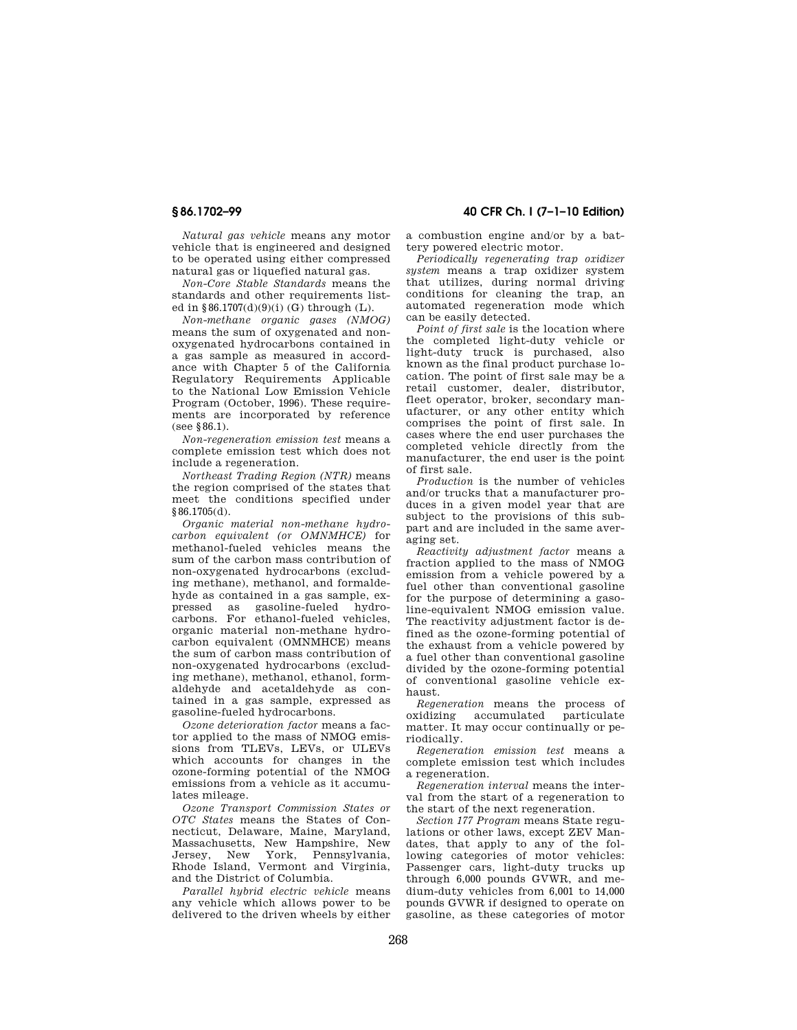*Natural gas vehicle* means any motor vehicle that is engineered and designed to be operated using either compressed natural gas or liquefied natural gas.

*Non-Core Stable Standards* means the standards and other requirements listed in §86.1707(d)(9)(i) (G) through (L).

*Non-methane organic gases (NMOG)*  means the sum of oxygenated and nonoxygenated hydrocarbons contained in a gas sample as measured in accordance with Chapter 5 of the California Regulatory Requirements Applicable to the National Low Emission Vehicle Program (October, 1996). These requirements are incorporated by reference  $($ see 886.1).

*Non-regeneration emission test* means a complete emission test which does not include a regeneration.

*Northeast Trading Region (NTR)* means the region comprised of the states that meet the conditions specified under §86.1705(d).

*Organic material non-methane hydrocarbon equivalent (or OMNMHCE)* for methanol-fueled vehicles means the sum of the carbon mass contribution of non-oxygenated hydrocarbons (excluding methane), methanol, and formaldehyde as contained in a gas sample, ex-<br>pressed as gasoline-fueled hydroas gasoline-fueled hydrocarbons. For ethanol-fueled vehicles, organic material non-methane hydrocarbon equivalent (OMNMHCE) means the sum of carbon mass contribution of non-oxygenated hydrocarbons (excluding methane), methanol, ethanol, formaldehyde and acetaldehyde as contained in a gas sample, expressed as gasoline-fueled hydrocarbons.

*Ozone deterioration factor* means a factor applied to the mass of NMOG emissions from TLEVs, LEVs, or ULEVs which accounts for changes in the ozone-forming potential of the NMOG emissions from a vehicle as it accumulates mileage.

*Ozone Transport Commission States or OTC States* means the States of Connecticut, Delaware, Maine, Maryland, Massachusetts, New Hampshire, New Jersey, New York, Pennsylvania, Rhode Island, Vermont and Virginia, and the District of Columbia.

*Parallel hybrid electric vehicle* means any vehicle which allows power to be delivered to the driven wheels by either

**§ 86.1702–99 40 CFR Ch. I (7–1–10 Edition)** 

a combustion engine and/or by a battery powered electric motor.

*Periodically regenerating trap oxidizer system* means a trap oxidizer system that utilizes, during normal driving conditions for cleaning the trap, an automated regeneration mode which can be easily detected.

*Point of first sale* is the location where the completed light-duty vehicle or light-duty truck is purchased, also known as the final product purchase location. The point of first sale may be a retail customer, dealer, distributor, fleet operator, broker, secondary manufacturer, or any other entity which comprises the point of first sale. In cases where the end user purchases the completed vehicle directly from the manufacturer, the end user is the point of first sale.

*Production* is the number of vehicles and/or trucks that a manufacturer produces in a given model year that are subject to the provisions of this subpart and are included in the same averaging set.

*Reactivity adjustment factor* means a fraction applied to the mass of NMOG emission from a vehicle powered by a fuel other than conventional gasoline for the purpose of determining a gasoline-equivalent NMOG emission value. The reactivity adjustment factor is defined as the ozone-forming potential of the exhaust from a vehicle powered by a fuel other than conventional gasoline divided by the ozone-forming potential of conventional gasoline vehicle exhaust.

*Regeneration* means the process of oxidizing accumulated particulate matter. It may occur continually or periodically.

*Regeneration emission test* means a complete emission test which includes a regeneration.

*Regeneration interval* means the interval from the start of a regeneration to the start of the next regeneration.

*Section 177 Program* means State regulations or other laws, except ZEV Mandates, that apply to any of the following categories of motor vehicles: Passenger cars, light-duty trucks up through 6,000 pounds GVWR, and medium-duty vehicles from 6,001 to 14,000 pounds GVWR if designed to operate on gasoline, as these categories of motor